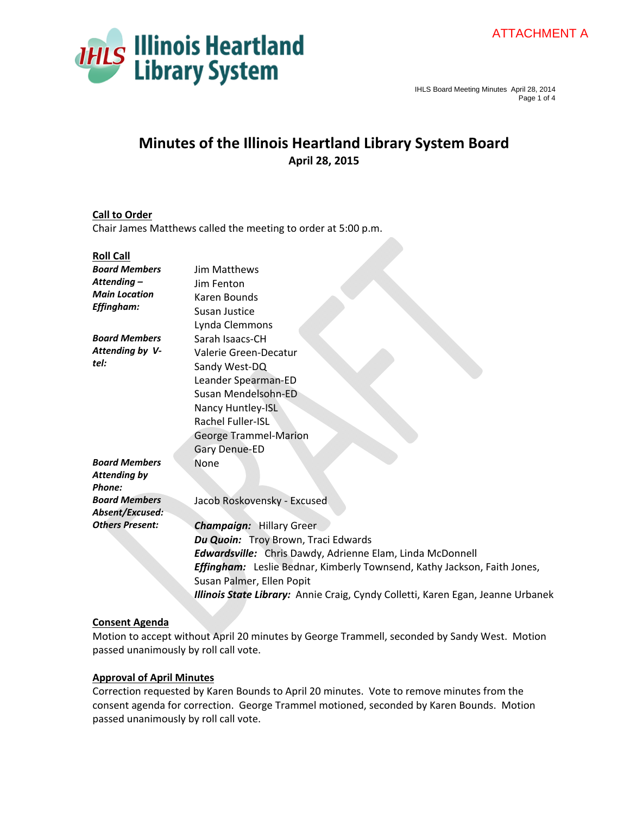



# **Minutes of the Illinois Heartland Library System Board April 28, 2015**

# **Call to Order**

Chair James Matthews called the meeting to order at 5:00 p.m.

#### **Roll Call**

| <b>Board Members</b>   | <b>Jim Matthews</b>                                                             |
|------------------------|---------------------------------------------------------------------------------|
| Attending –            | Jim Fenton                                                                      |
| <b>Main Location</b>   | Karen Bounds                                                                    |
| Effingham:             | Susan Justice                                                                   |
|                        | Lynda Clemmons                                                                  |
| <b>Board Members</b>   | Sarah Isaacs-CH                                                                 |
| Attending by V-        | Valerie Green-Decatur                                                           |
| tel:                   | Sandy West-DQ                                                                   |
|                        | Leander Spearman-ED                                                             |
|                        | Susan Mendelsohn-ED                                                             |
|                        | Nancy Huntley-ISL                                                               |
|                        | <b>Rachel Fuller-ISL</b>                                                        |
|                        | <b>George Trammel-Marion</b>                                                    |
|                        | Gary Denue-ED                                                                   |
| <b>Board Members</b>   | None                                                                            |
| Attending by           |                                                                                 |
| Phone:                 |                                                                                 |
| <b>Board Members</b>   | Jacob Roskovensky - Excused                                                     |
| Absent/Excused:        |                                                                                 |
| <b>Others Present:</b> | <b>Champaign: Hillary Greer</b>                                                 |
|                        | Du Quoin: Troy Brown, Traci Edwards                                             |
|                        | <b>Edwardsville:</b> Chris Dawdy, Adrienne Elam, Linda McDonnell                |
|                        | <b>Effingham:</b> Leslie Bednar, Kimberly Townsend, Kathy Jackson, Faith Jones, |
|                        | Susan Palmer, Ellen Popit                                                       |
|                        | Illinois State Library: Annie Craig, Cyndy Colletti, Karen Egan, Jeanne Urbanek |
|                        |                                                                                 |

# **Consent Agenda**

Motion to accept without April 20 minutes by George Trammell, seconded by Sandy West. Motion passed unanimously by roll call vote.

# **Approval of April Minutes**

Correction requested by Karen Bounds to April 20 minutes. Vote to remove minutes from the consent agenda for correction. George Trammel motioned, seconded by Karen Bounds. Motion passed unanimously by roll call vote.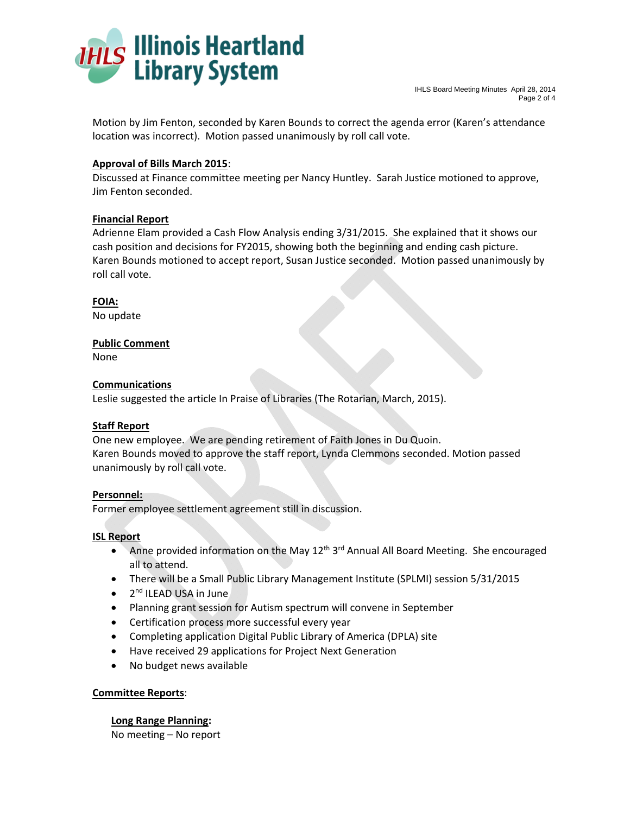

Motion by Jim Fenton, seconded by Karen Bounds to correct the agenda error (Karen's attendance location was incorrect). Motion passed unanimously by roll call vote.

# **Approval of Bills March 2015**:

Discussed at Finance committee meeting per Nancy Huntley. Sarah Justice motioned to approve, Jim Fenton seconded.

# **Financial Report**

Adrienne Elam provided a Cash Flow Analysis ending 3/31/2015. She explained that it shows our cash position and decisions for FY2015, showing both the beginning and ending cash picture. Karen Bounds motioned to accept report, Susan Justice seconded. Motion passed unanimously by roll call vote.

**FOIA:**  No update

# **Public Comment**

None

#### **Communications**

Leslie suggested the article In Praise of Libraries (The Rotarian, March, 2015).

# **Staff Report**

One new employee. We are pending retirement of Faith Jones in Du Quoin. Karen Bounds moved to approve the staff report, Lynda Clemmons seconded. Motion passed unanimously by roll call vote.

#### **Personnel:**

Former employee settlement agreement still in discussion.

# **ISL Report**

- Anne provided information on the May  $12<sup>th</sup> 3<sup>rd</sup>$  Annual All Board Meeting. She encouraged all to attend.
- There will be a Small Public Library Management Institute (SPLMI) session 5/31/2015
- $\bullet$  2<sup>nd</sup> ILEAD USA in June
- Planning grant session for Autism spectrum will convene in September
- Certification process more successful every year
- Completing application Digital Public Library of America (DPLA) site
- Have received 29 applications for Project Next Generation
- No budget news available

# **Committee Reports**:

# **Long Range Planning:**

No meeting – No report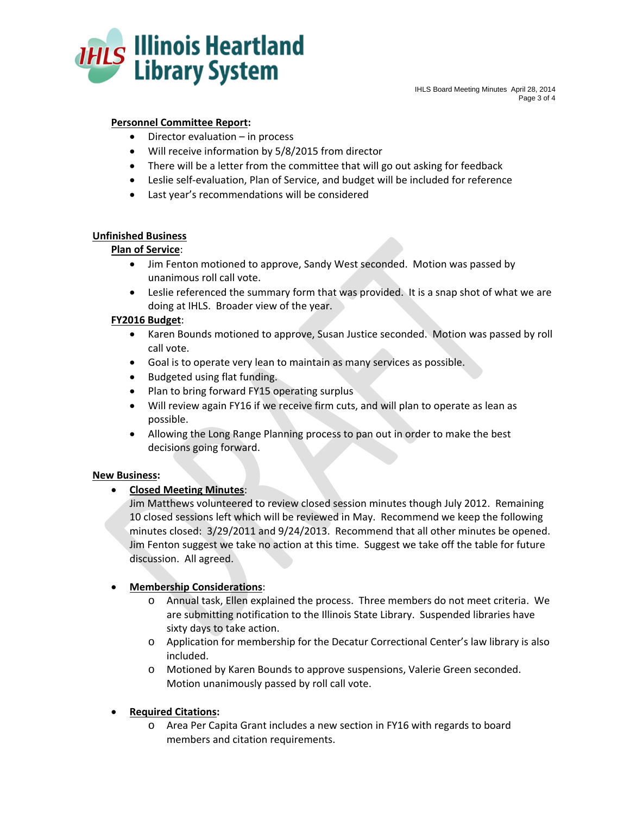

IHLS Board Meeting Minutes April 28, 2014 Page 3 of 4

# **Personnel Committee Report:**

- Director evaluation in process
- Will receive information by 5/8/2015 from director
- There will be a letter from the committee that will go out asking for feedback
- Leslie self-evaluation, Plan of Service, and budget will be included for reference
- Last year's recommendations will be considered

#### **Unfinished Business**

#### **Plan of Service**:

- Jim Fenton motioned to approve, Sandy West seconded. Motion was passed by unanimous roll call vote.
- Leslie referenced the summary form that was provided. It is a snap shot of what we are doing at IHLS. Broader view of the year.

#### **FY2016 Budget**:

- Karen Bounds motioned to approve, Susan Justice seconded. Motion was passed by roll call vote.
- Goal is to operate very lean to maintain as many services as possible.
- Budgeted using flat funding.
- Plan to bring forward FY15 operating surplus
- Will review again FY16 if we receive firm cuts, and will plan to operate as lean as possible.
- Allowing the Long Range Planning process to pan out in order to make the best decisions going forward.

# **New Business:**

**Closed Meeting Minutes**:

Jim Matthews volunteered to review closed session minutes though July 2012. Remaining 10 closed sessions left which will be reviewed in May. Recommend we keep the following minutes closed: 3/29/2011 and 9/24/2013. Recommend that all other minutes be opened. Jim Fenton suggest we take no action at this time. Suggest we take off the table for future discussion. All agreed.

# **Membership Considerations**:

- o Annual task, Ellen explained the process. Three members do not meet criteria. We are submitting notification to the Illinois State Library. Suspended libraries have sixty days to take action.
- o Application for membership for the Decatur Correctional Center's law library is also included.
- o Motioned by Karen Bounds to approve suspensions, Valerie Green seconded. Motion unanimously passed by roll call vote.
- **Required Citations:**
	- o Area Per Capita Grant includes a new section in FY16 with regards to board members and citation requirements.